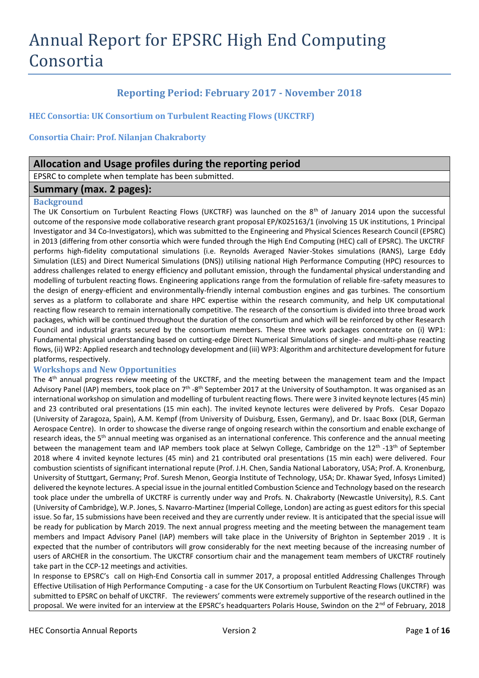# Annual Report for EPSRC High End Computing Consortia

# **Reporting Period: February 2017 - November 2018**

**HEC Consortia: UK Consortium on Turbulent Reacting Flows (UKCTRF)**

**Consortia Chair: Prof. Nilanjan Chakraborty**

## **Allocation and Usage profiles during the reporting period**

EPSRC to complete when template has been submitted.

## **Summary (max. 2 pages):**

#### **Background**

The UK Consortium on Turbulent Reacting Flows (UKCTRF) was launched on the 8<sup>th</sup> of January 2014 upon the successful outcome of the responsive mode collaborative research grant proposal EP/K025163/1 (involving 15 UK institutions, 1 Principal Investigator and 34 Co-Investigators), which was submitted to the Engineering and Physical Sciences Research Council (EPSRC) in 2013 (differing from other consortia which were funded through the High End Computing (HEC) call of EPSRC). The UKCTRF performs high-fidelity computational simulations (i.e. Reynolds Averaged Navier-Stokes simulations (RANS), Large Eddy Simulation (LES) and Direct Numerical Simulations (DNS)) utilising national High Performance Computing (HPC) resources to address challenges related to energy efficiency and pollutant emission, through the fundamental physical understanding and modelling of turbulent reacting flows. Engineering applications range from the formulation of reliable fire-safety measures to the design of energy-efficient and environmentally-friendly internal combustion engines and gas turbines. The consortium serves as a platform to collaborate and share HPC expertise within the research community, and help UK computational reacting flow research to remain internationally competitive. The research of the consortium is divided into three broad work packages, which will be continued throughout the duration of the consortium and which will be reinforced by other Research Council and industrial grants secured by the consortium members. These three work packages concentrate on (i) WP1: Fundamental physical understanding based on cutting-edge Direct Numerical Simulations of single- and multi-phase reacting flows, (ii) WP2: Applied research and technology development and (iii) WP3: Algorithm and architecture development for future platforms, respectively.

## **Workshops and New Opportunities**

The 4<sup>th</sup> annual progress review meeting of the UKCTRF, and the meeting between the management team and the Impact Advisory Panel (IAP) members, took place on 7<sup>th</sup> -8<sup>th</sup> September 2017 at the University of Southampton. It was organised as an international workshop on simulation and modelling of turbulent reacting flows. There were 3 invited keynote lectures (45 min) and 23 contributed oral presentations (15 min each). The invited keynote lectures were delivered by Profs. Cesar Dopazo (University of Zaragoza, Spain), A.M. Kempf (from University of Duisburg, Essen, Germany), and Dr. Isaac Boxx (DLR, German Aerospace Centre). In order to showcase the diverse range of ongoing research within the consortium and enable exchange of research ideas, the 5<sup>th</sup> annual meeting was organised as an international conference. This conference and the annual meeting between the management team and IAP members took place at Selwyn College, Cambridge on the 12<sup>th</sup> -13<sup>th</sup> of September 2018 where 4 invited keynote lectures (45 min) and 21 contributed oral presentations (15 min each) were delivered. Four combustion scientists of significant international repute (Prof. J.H. Chen, Sandia National Laboratory, USA; Prof. A. Kronenburg, University of Stuttgart, Germany; Prof. Suresh Menon, Georgia Institute of Technology, USA; Dr. Khawar Syed, Infosys Limited) delivered the keynote lectures. A special issue in the journal entitled Combustion Science and Technology based on the research took place under the umbrella of UKCTRF is currently under way and Profs. N. Chakraborty (Newcastle University), R.S. Cant (University of Cambridge), W.P. Jones, S. Navarro-Martinez (Imperial College, London) are acting as guest editors for this special issue. So far, 15 submissions have been received and they are currently under review. It is anticipated that the special issue will be ready for publication by March 2019. The next annual progress meeting and the meeting between the management team members and Impact Advisory Panel (IAP) members will take place in the University of Brighton in September 2019 . It is expected that the number of contributors will grow considerably for the next meeting because of the increasing number of users of ARCHER in the consortium. The UKCTRF consortium chair and the management team members of UKCTRF routinely take part in the CCP-12 meetings and activities.

In response to EPSRC's call on High-End Consortia call in summer 2017, a proposal entitled Addressing Challenges Through Effective Utilisation of High Performance Computing - a case for the UK Consortium on Turbulent Reacting Flows (UKCTRF) was submitted to EPSRC on behalf of UKCTRF. The reviewers' comments were extremely supportive of the research outlined in the proposal. We were invited for an interview at the EPSRC's headquarters Polaris House, Swindon on the 2<sup>nd</sup> of February, 2018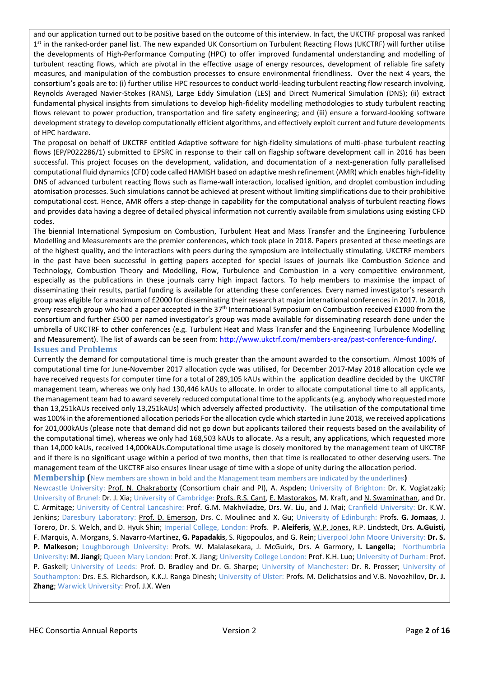and our application turned out to be positive based on the outcome of this interview. In fact, the UKCTRF proposal was ranked 1<sup>st</sup> in the ranked-order panel list. The new expanded UK Consortium on Turbulent Reacting Flows (UKCTRF) will further utilise the developments of High-Performance Computing (HPC) to offer improved fundamental understanding and modelling of turbulent reacting flows, which are pivotal in the effective usage of energy resources, development of reliable fire safety measures, and manipulation of the combustion processes to ensure environmental friendliness. Over the next 4 years, the consortium's goals are to: (i) further utilise HPC resources to conduct world-leading turbulent reacting flow research involving, Reynolds Averaged Navier-Stokes (RANS), Large Eddy Simulation (LES) and Direct Numerical Simulation (DNS); (ii) extract fundamental physical insights from simulations to develop high-fidelity modelling methodologies to study turbulent reacting flows relevant to power production, transportation and fire safety engineering; and (iii) ensure a forward-looking software development strategy to develop computationally efficient algorithms, and effectively exploit current and future developments of HPC hardware.

The proposal on behalf of UKCTRF entitled Adaptive software for high-fidelity simulations of multi-phase turbulent reacting flows (EP/P022286/1) submitted to EPSRC in response to their call on flagship software development call in 2016 has been successful. This project focuses on the development, validation, and documentation of a next-generation fully parallelised computational fluid dynamics (CFD) code called HAMISH based on adaptive mesh refinement (AMR) which enables high-fidelity DNS of advanced turbulent reacting flows such as flame-wall interaction, localised ignition, and droplet combustion including atomisation processes. Such simulations cannot be achieved at present without limiting simplifications due to their prohibitive computational cost. Hence, AMR offers a step-change in capability for the computational analysis of turbulent reacting flows and provides data having a degree of detailed physical information not currently available from simulations using existing CFD codes.

The biennial International Symposium on Combustion, Turbulent Heat and Mass Transfer and the Engineering Turbulence Modelling and Measurements are the premier conferences, which took place in 2018. Papers presented at these meetings are of the highest quality, and the interactions with peers during the symposium are intellectually stimulating. UKCTRF members in the past have been successful in getting papers accepted for special issues of journals like Combustion Science and Technology, Combustion Theory and Modelling, Flow, Turbulence and Combustion in a very competitive environment, especially as the publications in these journals carry high impact factors. To help members to maximise the impact of disseminating their results, partial funding is available for attending these conferences. Every named investigator's research group was eligible for a maximum of £2000 for disseminating their research at major international conferences in 2017. In 2018, every research group who had a paper accepted in the 37<sup>th</sup> International Symposium on Combustion received £1000 from the consortium and further £500 per named investigator's group was made available for disseminating research done under the umbrella of UKCTRF to other conferences (e.g. Turbulent Heat and Mass Transfer and the Engineering Turbulence Modelling and Measurement). The list of awards can be seen from: [http://www.ukctrf.com/members-area/past-conference-funding/.](http://www.ukctrf.com/members-area/past-conference-funding/)

## **Issues and Problems**

Currently the demand for computational time is much greater than the amount awarded to the consortium. Almost 100% of computational time for June-November 2017 allocation cycle was utilised, for December 2017-May 2018 allocation cycle we have received requests for computer time for a total of 289,105 kAUs within the application deadline decided by the UKCTRF management team, whereas we only had 130,446 kAUs to allocate. In order to allocate computational time to all applicants, the management team had to award severely reduced computational time to the applicants (e.g. anybody who requested more than 13,251kAUs received only 13,251kAUs) which adversely affected productivity. The utilisation of the computational time was 100% in the aforementioned allocation periods For the allocation cycle which started in June 2018, we received applications for 201,000kAUs (please note that demand did not go down but applicants tailored their requests based on the availability of the computational time), whereas we only had 168,503 kAUs to allocate. As a result, any applications, which requested more than 14,000 kAUs, received 14,000kAUs.Computational time usage is closely monitored by the management team of UKCTRF and if there is no significant usage within a period of two months, then that time is reallocated to other deserving users. The management team of the UKCTRF also ensures linear usage of time with a slope of unity during the allocation period. **Membership (**New members are shown in bold and the Management team members are indicated by the underlines**)**

Newcastle University: Prof. N. Chakraborty (Consortium chair and PI), A. Aspden; University of Brighton: Dr. K. Vogiatzaki; University of Brunel: Dr. J. Xia; University of Cambridge: Profs. R.S. Cant, E. Mastorakos, M. Kraft, and N. Swaminathan, and Dr. C. Armitage; University of Central Lancashire: Prof. G.M. Makhviladze, Drs. W. Liu, and J. Mai; Cranfield University: Dr. K.W. Jenkins; Daresbury Laboratory: Prof. D. Emerson, Drs. C. Moulinec and X. Gu; University of Edinburgh: Profs. **G. Jomaas**, J. Torero, Dr. S. Welch, and D. Hyuk Shin; Imperial College, London: Profs. **P. Aleiferis**, W.P. Jones, R.P. Lindstedt, Drs. **A.Guisti,** F. Marquis, A. Morgans, S. Navarro-Martinez, **G. Papadakis**, S. Rigopoulos, and G. Rein; Liverpool John Moore University: **Dr. S. P. Malkeson**; Loughborough University: Profs. W. Malalasekara, J. McGuirk, Drs. A Garmory, **I. Langella**; Northumbria University: **M. Jiangi**; Queen Mary London: Prof. X. Jiang; University College London: Prof. K.H. Luo; University of Durham: Prof. P. Gaskell; University of Leeds: Prof. D. Bradley and Dr. G. Sharpe; University of Manchester: Dr. R. Prosser; University of Southampton: Drs. E.S. Richardson, K.K.J. Ranga Dinesh; University of Ulster: Profs. M. Delichatsios and V.B. Novozhilov, **Dr. J. Zhang**; Warwick University: Prof. J.X. Wen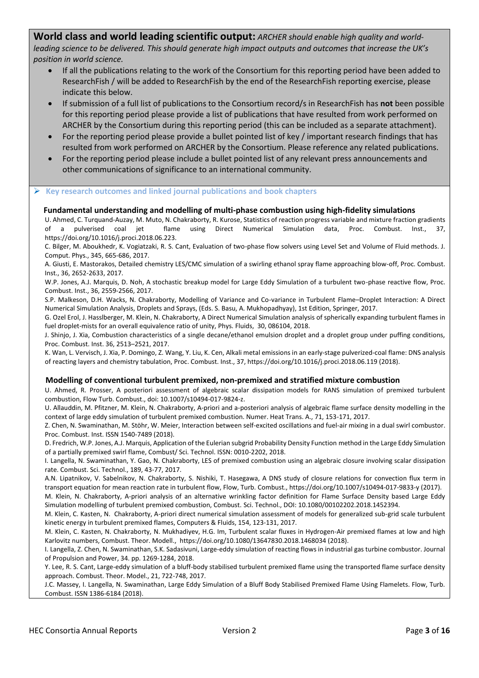**World class and world leading scientific output:** *ARCHER should enable high quality and worldleading science to be delivered. This should generate high impact outputs and outcomes that increase the UK's position in world science.*

- If all the publications relating to the work of the Consortium for this reporting period have been added to ResearchFish / will be added to ResearchFish by the end of the ResearchFish reporting exercise, please indicate this below.
- If submission of a full list of publications to the Consortium record/s in ResearchFish has **not** been possible for this reporting period please provide a list of publications that have resulted from work performed on ARCHER by the Consortium during this reporting period (this can be included as a separate attachment).
- For the reporting period please provide a bullet pointed list of key / important research findings that has resulted from work performed on ARCHER by the Consortium. Please reference any related publications.
- For the reporting period please include a bullet pointed list of any relevant press announcements and other communications of significance to an international community.

#### **Key research outcomes and linked journal publications and book chapters**

#### **Fundamental understanding and modelling of multi-phase combustion using high-fidelity simulations**

U. Ahmed, C. Turquand-Auzay, M. Muto, N. Chakraborty, R. Kurose, Statistics of reaction progress variable and mixture fraction gradients of a pulverised coal jet flame using Direct Numerical Simulation data, Proc. Combust. Inst., 37, https://doi.org/10.1016/j.proci.2018.06.223.

C. Bilger, M. Aboukhedr, K. Vogiatzaki, R. S. Cant, Evaluation of two-phase flow solvers using Level Set and Volume of Fluid methods. J. Comput. Phys., 345, 665-686, 2017.

A. Giusti, E. Mastorakos, Detailed chemistry LES/CMC simulation of a swirling ethanol spray flame approaching blow-off, Proc. Combust. Inst., 36, 2652-2633, 2017.

W.P. Jones, A.J. Marquis, D. Noh, A stochastic breakup model for Large Eddy Simulation of a turbulent two-phase reactive flow, Proc. Combust. Inst., 36, 2559-2566, 2017.

S.P. Malkeson, D.H. Wacks, N. Chakraborty, Modelling of Variance and Co-variance in Turbulent Flame–Droplet Interaction: A Direct Numerical Simulation Analysis, Droplets and Sprays, (Eds. S. Basu, A. Mukhopadhyay), 1st Edition, Springer, 2017.

G. Ozel Erol, J. Hasslberger, M. Klein, N. Chakraborty, A Direct Numerical Simulation analysis of spherically expanding turbulent flames in fuel droplet-mists for an overall equivalence ratio of unity, Phys. Fluids, 30, 086104, 2018.

J. Shinjo, J. Xia, Combustion characteristics of a single decane/ethanol emulsion droplet and a droplet group under puffing conditions, Proc. Combust. Inst. 36, 2513–2521, 2017.

K. Wan, L. Vervisch, J. Xia, P. Domingo, Z. Wang, Y. Liu, K. Cen, Alkali metal emissions in an early-stage pulverized-coal flame: DNS analysis of reacting layers and chemistry tabulation, Proc. Combust. Inst., 37, https://doi.org/10.1016/j.proci.2018.06.119 (2018).

#### **Modelling of conventional turbulent premixed, non-premixed and stratified mixture combustion**

U. Ahmed, R. Prosser, A posteriori assessment of algebraic scalar dissipation models for RANS simulation of premixed turbulent combustion, Flow Turb. Combust., doi: 10.1007/s10494-017-9824-z.

U. Allauddin, M. Pfitzner, M. Klein, N. Chakraborty, A-priori and a-posteriori analysis of algebraic flame surface density modelling in the context of large eddy simulation of turbulent premixed combustion. Numer. Heat Trans. A., 71, 153-171, 2017.

Z. Chen, N. Swaminathan, M. Stöhr, W. Meier, Interaction between self-excited oscillations and fuel-air mixing in a dual swirl combustor. Proc. Combust. Inst. ISSN 1540-7489 (2018).

D. Fredrich, W.P. Jones, A.J. Marquis, Application of the Eulerian subgrid Probability Density Function method in the Large Eddy Simulation of a partially premixed swirl flame, Combust/ Sci. Technol. ISSN: 0010-2202, 2018.

I. Langella, N. Swaminathan, Y. Gao, N. Chakraborty, LES of premixed combustion using an algebraic closure involving scalar dissipation rate. Combust. Sci. Technol., 189, 43-77, 2017.

A.N. Lipatnikov, V. Sabelnikov, N. Chakraborty, S. Nishiki, T. Hasegawa, A DNS study of closure relations for convection flux term in transport equation for mean reaction rate in turbulent flow, Flow, Turb. Combust., https://doi.org/10.1007/s10494-017-9833-y (2017).

M. Klein, N. Chakraborty, A-priori analysis of an alternative wrinkling factor definition for Flame Surface Density based Large Eddy Simulation modelling of turbulent premixed combustion, Combust. Sci. Technol., DOI: 10.1080/00102202.2018.1452394.

M. Klein, C. Kasten, N. Chakraborty, A-priori direct numerical simulation assessment of models for generalized sub-grid scale turbulent kinetic energy in turbulent premixed flames, Computers & Fluids, 154, 123-131, 2017.

M. Klein, C. Kasten, N. Chakraborty, N. Mukhadiyev, H.G. Im, Turbulent scalar fluxes in Ηydrogen-Air premixed flames at low and high Karlovitz numbers, Combust. Theor. Modell., <https://doi.org/10.1080/13647830.2018.1468034> (2018).

I. Langella, Z. Chen, N. Swaminathan, S.K. Sadasivuni, Large-eddy simulation of reacting flows in industrial gas turbine combustor. Journal of Propulsion and Power, 34. pp. 1269-1284, 2018.

Y. Lee, R. S. Cant, Large-eddy simulation of a bluff-body stabilised turbulent premixed flame using the transported flame surface density approach. Combust. Theor. Model., 21, 722-748, 2017.

J.C. Massey, I. Langella, N. Swaminathan, Large Eddy Simulation of a Bluff Body Stabilised Premixed Flame Using Flamelets. Flow, Turb. Combust. ISSN 1386-6184 (2018).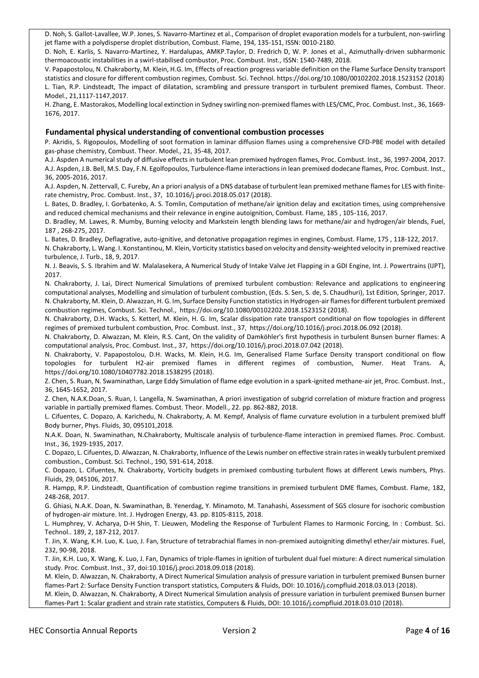D. Noh, S. Gallot-Lavallee, W.P. Jones, S. Navarro-Martinez et al., Comparison of droplet evaporation models for a turbulent, non-swirling jet flame with a polydisperse droplet distribution, Combust. Flame, 194, 135-151, ISSN: 0010-2180.

D. Noh, E. Karlis, S. Navarro-Martinez, Y. Hardalupas, AMKP.Taylor, D. Fredrich D, W. P. Jones et al., Azimuthally-driven subharmonic thermoacoustic instabilities in a swirl-stabilised combustor, Proc. Combust. Inst., ISSN: 1540-7489, 2018.

V. Papapostolou, N. Chakraborty, M. Klein, H.G. Im, Effects of reaction progress variable definition on the Flame Surface Density transport statistics and closure for different combustion regimes, Combust. Sci. Technol.<https://doi.org/10.1080/00102202.2018.1523152> (2018) L. Tian, R.P. Lindsteadt, The impact of dilatation, scrambling and pressure transport in turbulent premixed flames, Combust. Theor. Model., 21,1117-1147,2017.

H. Zhang, E. Mastorakos, Modelling local extinction in Sydney swirling non-premixed flames with LES/CMC, Proc. Combust. Inst., 36, 1669- 1676, 2017.

#### **Fundamental physical understanding of conventional combustion processes**

P. Akridis, S. Rigopoulos, Modelling of soot formation in laminar diffusion flames using a comprehensive CFD-PBE model with detailed gas-phase chemistry, Combust. Theor. Model., 21, 35-48, 2017.

A.J. Aspden A numerical study of diffusive effects in turbulent lean premixed hydrogen flames, Proc. Combust. Inst., 36, 1997-2004, 2017. A.J. Aspden, J.B. Bell, M.S. Day, F.N. Egolfopoulos, Turbulence-flame interactions in lean premixed dodecane flames, Proc. Combust. Inst., 36, 2005-2016, 2017.

A.J. Aspden, N. Zettervall, C. Fureby, An a priori analysis of a DNS database of turbulent lean premixed methane flames for LES with finiterate chemistry, Proc. Combust. Inst., 37, 10.1016/j.proci.2018.05.017 (2018).

L. Bates, D. Bradley, I. Gorbatenko, A. S. Tomlin, Computation of methane/air ignition delay and excitation times, using comprehensive and reduced chemical mechanisms and their relevance in engine autoignition, Combust. Flame, 185 , 105-116, 2017.

D. Bradley, M. Lawes, R. Mumby, Burning velocity and Markstein length blending laws for methane/air and hydrogen/air blends, Fuel, 187 , 268-275, 2017.

L. Bates, D. Bradley, Deflagrative, auto-ignitive, and detonative propagation regimes in engines, Combust. Flame, 175 , 118-122, 2017. N. Chakraborty, L. Wang. I. Konstantinou, M. Klein, Vorticity statistics based on velocity and density-weighted velocity in premixed reactive

turbulence, J. Turb., 18, 9, 2017. N. J. Beavis, S. S. Ibrahim and W. Malalasekera, A Numerical Study of Intake Valve Jet Flapping in a GDI Engine, Int. J. Powertrains (IJPT),

2017. N. Chakraborty, J. Lai, Direct Numerical Simulations of premixed turbulent combustion: Relevance and applications to engineering computational analyses, Modelling and simulation of turbulent combustion, (Eds. S. Sen, S. de, S. Chaudhuri), 1st Edition, Springer, 2017. N. Chakraborty, M. Klein, D. Alwazzan, H. G. Im, Surface Density Function statistics in Hydrogen-air flames for different turbulent premixed combustion regimes, Combust. Sci. Technol.,<https://doi.org/10.1080/00102202.2018.1523152> (2018).

N. Chakraborty, D.H. Wacks, S. Ketterl, M. Klein, H. G. Im, Scalar dissipation rate transport conditional on flow topologies in different regimes of premixed turbulent combustion, Proc. Combust. Inst., 37, https://doi.org/10.1016/j.proci.2018.06.092 (2018).

N. Chakraborty, D. Alwazzan, M. Klein, R.S. Cant, On the validity of Damköhler's first hypothesis in turbulent Bunsen burner flames: A computational analysis, Proc. Combust. Inst., 37,<https://doi.org/10.1016/j.proci.2018.07.042> (2018).

N. Chakraborty, V. Papapostolou, D.H. Wacks, M. Klein, H.G. Im, Generalised Flame Surface Density transport conditional on flow topologies for turbulent H2-air premixed flames in different regimes of combustion, Numer. Heat Trans. <https://doi.org/10.1080/10407782.2018.1538295> (2018).

Z. Chen, S. Ruan, N. Swaminathan, Large Eddy Simulation of flame edge evolution in a spark-ignited methane-air jet, Proc. Combust. Inst., 36, 1645-1652, 2017.

Z. Chen, N.A.K.Doan, S. Ruan, I. Langella, N. Swaminathan, A priori investigation of subgrid correlation of mixture fraction and progress variable in partially premixed flames. Combust. Theor. Modell., 22. pp. 862-882, 2018.

L. Cifuentes, C. Dopazo, A. Karichedu, N. Chakraborty, A. M. Kempf, Analysis of flame curvature evolution in a turbulent premixed bluff Body burner, Phys. Fluids, 30, 095101,2018.

N.A.K. Doan, N. Swaminathan, N.Chakraborty, Multiscale analysis of turbulence-flame interaction in premixed flames. Proc. Combust. Inst., 36, 1929-1935, 2017.

C. Dopazo, L. Cifuentes, D. Alwazzan, N. Chakraborty, Influence of the Lewis number on effective strain rates in weakly turbulent premixed combustion., Combust. Sci. Technol., 190, 591-614, 2018.

C. Dopazo, L. Cifuentes, N. Chakraborty, Vorticity budgets in premixed combusting turbulent flows at different Lewis numbers, Phys. Fluids, 29, 045106, 2017.

R. Hampp, R.P. Lindsteadt, Quantification of combustion regime transitions in premixed turbulent DME flames, Combust. Flame, 182, 248-268, 2017.

G. Ghiasi, N.A.K. Doan, N. Swaminathan, B. Yenerdag, Y. Minamoto, M. Tanahashi, Assessment of SGS closure for isochoric combustion of hydrogen-air mixture. Int. J. Hydrogen Energy, 43. pp. 8105-8115, 2018.

L. Humphrey, V. Acharya, D-H Shin, T. Lieuwen, Modeling the Response of Turbulent Flames to Harmonic Forcing, In : Combust. Sci. Technol.. 189, 2, 187-212, 2017.

T. Jin, X. Wang, K.H. Luo, K. Luo, J. Fan, Structure of tetrabrachial flames in non-premixed autoigniting dimethyl ether/air mixtures. Fuel, 232, 90-98, 2018.

T. Jin, K.H. Luo, X. Wang, K. Luo, J. Fan, Dynamics of triple-flames in ignition of turbulent dual fuel mixture: A direct numerical simulation study. Proc. Combust. Inst., 37, doi:10.1016/j.proci.2018.09.018 (2018).

M. Klein, D. Alwazzan, N. Chakraborty, A Direct Numerical Simulation analysis of pressure variation in turbulent premixed Bunsen burner flames-Part 2: Surface Density Function transport statistics, Computers & Fluids, DOI: 10.1016/j.compfluid.2018.03.013 (2018).

M. Klein, D. Alwazzan, N. Chakraborty, A Direct Numerical Simulation analysis of pressure variation in turbulent premixed Bunsen burner flames-Part 1: Scalar gradient and strain rate statistics, Computers & Fluids, DOI: 10.1016/j.compfluid.2018.03.010 (2018).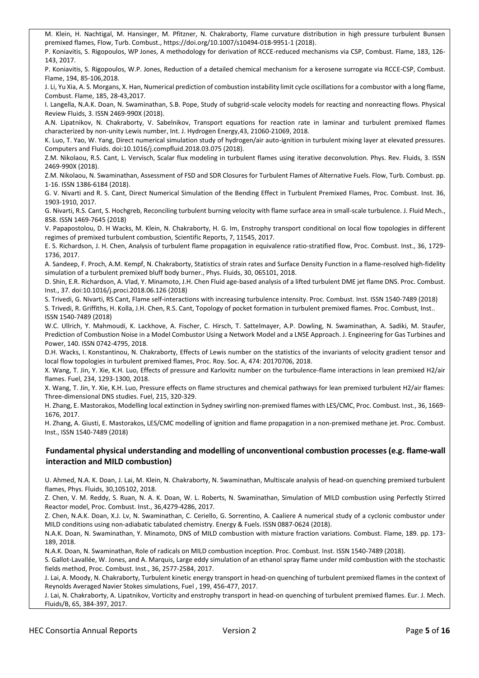M. Klein, H. Nachtigal, M. Hansinger, M. Pfitzner, N. Chakraborty, Flame curvature distribution in high pressure turbulent Bunsen premixed flames, Flow, Turb. Combust.[, https://doi.org/10.1007/s10494-018-9951-1](https://doi.org/10.1007/s10494-018-9951-1) (2018).

P. Koniavitis, S. Rigopoulos, WP Jones, A methodology for derivation of RCCE-reduced mechanisms via CSP, Combust. Flame, 183, 126- 143, 2017.

P. Koniavitis, S. Rigopoulos, W.P. Jones, Reduction of a detailed chemical mechanism for a kerosene surrogate via RCCE-CSP, Combust. Flame, 194, 85-106,2018.

J. Li, Yu Xia, A. S. Morgans, X. Han, Numerical prediction of combustion instability limit cycle oscillations for a combustor with a long flame, Combust. Flame, 185, 28-43,2017.

I. Langella, N.A.K. Doan, N. Swaminathan, S.B. Pope, Study of subgrid-scale velocity models for reacting and nonreacting flows. Physical Review Fluids, 3. ISSN 2469-990X (2018).

A.N. Lipatnikov, N. Chakraborty, V. Sabelnikov, Transport equations for reaction rate in laminar and turbulent premixed flames characterized by non-unity Lewis number, Int. J. Hydrogen Energy,43, 21060-21069, 2018.

K. Luo, T. Yao, W. Yang, Direct numerical simulation study of hydrogen/air auto-ignition in turbulent mixing layer at elevated pressures. Computers and Fluids. doi:10.1016/j.compfluid.2018.03.075 (2018).

Z.M. Nikolaou, R.S. Cant, L. Vervisch, Scalar flux modeling in turbulent flames using iterative deconvolution. Phys. Rev. Fluids, 3. ISSN 2469-990X (2018).

Z.M. Nikolaou, N. Swaminathan, Assessment of FSD and SDR Closures for Turbulent Flames of Alternative Fuels. Flow, Turb. Combust. pp. 1-16. ISSN 1386-6184 (2018).

G. V. Nivarti and R. S. Cant, Direct Numerical Simulation of the Bending Effect in Turbulent Premixed Flames, Proc. Combust. Inst. 36, 1903-1910, 2017.

G. Nivarti, R.S. Cant, S. Hochgreb[, Reconciling turbulent burning velocity with flame surface area in small-scale turbulence.](http://publications.eng.cam.ac.uk/1035760/) J. Fluid Mech., 858. ISSN 1469-7645 (2018)

V. Papapostolou, D. H Wacks, M. Klein, N. Chakraborty, H. G. Im, Enstrophy transport conditional on local flow topologies in different regimes of premixed turbulent combustion, Scientific Reports, 7, 11545, 2017.

E. S. Richardson, J. H. Chen, Analysis of turbulent flame propagation in equivalence ratio-stratified flow, Proc. Combust. Inst., 36, 1729- 1736, 2017.

A. Sandeep, F. Proch, A.M. Kempf, N. Chakraborty, Statistics of strain rates and Surface Density Function in a flame-resolved high-fidelity simulation of a turbulent premixed bluff body burner., Phys. Fluids, 30, 065101, 2018.

D. Shin, E.R. Richardson, A. Vlad, Y. Minamoto, J.H. Chen Fluid age-based analysis of a lifted turbulent DME jet flame DNS. Proc. Combust. Inst., 37. doi:10.1016/j.proci.2018.06.126 (2018)

S. Trivedi, G. Nivarti, RS Cant, Flame self-interactions with increasing turbulence intensity. Proc. Combust. Inst. ISSN 1540-7489 (2018) S. Trivedi, R. Griffiths, H. Kolla, J.H. Chen, R.S. Cant, Topology of pocket formation in turbulent premixed flames. Proc. Combust, Inst.. ISSN 1540-7489 (2018)

W.C. Ullrich, Y. Mahmoudi, K. Lackhove, A. Fischer, C. Hirsch, T. Sattelmayer, A.P. Dowling, N. Swaminathan, A. Sadiki, M. Staufer, Prediction of Combustion Noise in a Model Combustor Using a Network Model and a LNSE Approach. J. Engineering for Gas Turbines and Power, 140. ISSN 0742-4795, 2018.

D.H. Wacks, I. Konstantinou, N. Chakraborty, Effects of Lewis number on the statistics of the invariants of velocity gradient tensor and local flow topologies in turbulent premixed flames, Proc. Roy. Soc. A, 474: 20170706, 2018.

X. Wang, T. Jin, Y. Xie, K.H. Luo, Effects of pressure and Karlovitz number on the turbulence-flame interactions in lean premixed H2/air flames. Fuel, 234, 1293-1300, 2018.

X. Wang, T. Jin, Y. Xie, K.H. Luo, Pressure effects on flame structures and chemical pathways for lean premixed turbulent H2/air flames: Three-dimensional DNS studies. Fuel, 215, 320-329.

H. Zhang, E. Mastorakos, Modelling local extinction in Sydney swirling non-premixed flames with LES/CMC, Proc. Combust. Inst., 36, 1669- 1676, 2017.

H. Zhang, A. Giusti, E. Mastorakos, LES/CMC modelling of ignition and flame propagation in a non-premixed methane jet. Proc. Combust. Inst., ISSN 1540-7489 (2018)

## **Fundamental physical understanding and modelling of unconventional combustion processes (e.g. flame-wall interaction and MILD combustion)**

U. Ahmed, N.A. K. Doan, J. Lai, M. Klein, N. Chakraborty, N. Swaminathan, Multiscale analysis of head-on quenching premixed turbulent flames, Phys. Fluids, 30,105102, 2018.

Z. Chen, V. M. Reddy, S. Ruan, N. A. K. Doan, W. L. Roberts, N. Swaminathan, Simulation of MILD combustion using Perfectly Stirred Reactor model, Proc. Combust. Inst., 36,4279-4286, 2017.

Z. Chen, N.A.K. Doan, X.J. Lv, N. Swaminathan, C. Ceriello, G. Sorrentino, A. Caaliere A numerical study of a cyclonic combustor under MILD conditions using non-adiabatic tabulated chemistry. Energy & Fuels. ISSN 0887-0624 (2018).

N.A.K. Doan, N. Swaminathan, Y. Minamoto, DNS of MILD combustion with mixture fraction variations. Combust. Flame, 189. pp. 173- 189, 2018.

N.A.K. Doan, N. Swaminathan, Role of radicals on MILD combustion inception. Proc. Combust. Inst. ISSN 1540-7489 (2018).

S. Gallot-Lavallée, W. Jones, and A. Marquis, Large eddy simulation of an ethanol spray flame under mild combustion with the stochastic fields method, Proc. Combust. Inst., 36, 2577-2584, 2017.

J. Lai, A. Moody, N. Chakraborty, Turbulent kinetic energy transport in head-on quenching of turbulent premixed flames in the context of Reynolds Averaged Navier Stokes simulations, Fuel , 199, 456-477, 2017.

J. Lai, N. Chakraborty, A. Lipatnikov, Vorticity and enstrophy transport in head-on quenching of turbulent premixed flames. Eur. J. Mech. Fluids/B, 65, 384-397, 2017.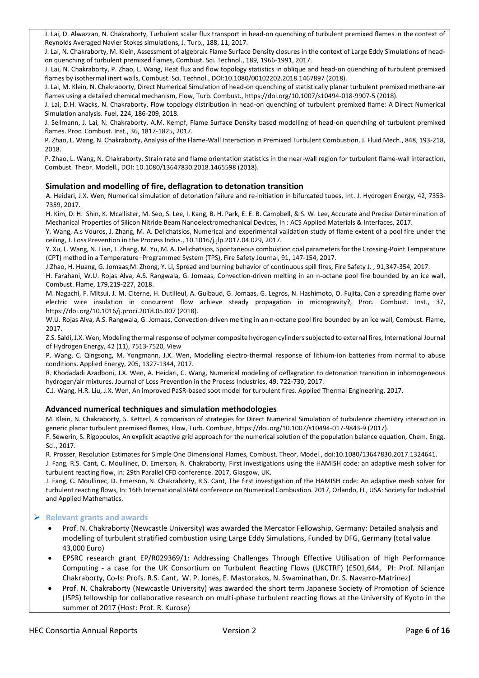J. Lai, D. Alwazzan, N. Chakraborty, Turbulent scalar flux transport in head-on quenching of turbulent premixed flames in the context of Reynolds Averaged Navier Stokes simulations, J. Turb., 188, 11, 2017.

J. Lai, N. Chakraborty, M. Klein, Assessment of algebraic Flame Surface Density closures in the context of Large Eddy Simulations of headon quenching of turbulent premixed flames, Combust. Sci. Technol., 189, 1966-1991, 2017.

J. Lai, N. Chakraborty, P. Zhao, L. Wang, Heat flux and flow topology statistics in oblique and head-on quenching of turbulent premixed flames by isothermal inert walls, Combust. Sci. Technol., DOI:10.1080/00102202.2018.1467897 (2018).

J. Lai, M. Klein, N. Chakraborty, Direct Numerical Simulation of head-on quenching of statistically planar turbulent premixed methane-air flames using a detailed chemical mechanism, Flow, Turb. Combust., https://doi.org/10.1007/s10494-018-9907-5 (2018).

J. Lai, D.H. Wacks, N. Chakraborty, Flow topology distribution in head-on quenching of turbulent premixed flame: A Direct Numerical Simulation analysis. Fuel, 224, 186-209, 2018.

J. Sellmann, J. Lai, N. Chakraborty, A.M. Kempf, Flame Surface Density based modelling of head-on quenching of turbulent premixed flames. Proc. Combust. Inst., 36, 1817-1825, 2017.

P. Zhao, L. Wang, N. Chakraborty, Analysis of the Flame-Wall Interaction in Premixed Turbulent Combustion, J. Fluid Mech., 848, 193-218, 2018.

P. Zhao, L. Wang, N. Chakraborty, Strain rate and flame orientation statistics in the near-wall region for turbulent flame-wall interaction, Combust. Theor. Modell., DOI: 10.1080/13647830.2018.1465598 (2018).

#### **Simulation and modelling of fire, deflagration to detonation transition**

A. Heidari, J.X. Wen, Numerical simulation of detonation failure and re-initiation in bifurcated tubes, Int. J. Hydrogen Energy, 42, 7353- 7359, 2017.

H. Kim, D. H. Shin, K. Mcallister, M. Seo, S. Lee, I. Kang, B. H. Park, E. E. B. Campbell, & S. W. Lee, Accurate and Precise Determination of Mechanical Properties of Silicon Nitride Beam Nanoelectromechanical Devices, In : ACS Applied Materials & Interfaces, 2017.

Y. Wang, A.s Vouros, J. Zhang, M. A. Delichatsios, Numerical and experimental validation study of flame extent of a pool fire under the ceiling, J. Loss Prevention in the Process Indus., 10.1016/j.jlp.2017.04.029, 2017.

Y. Xu, L. Wang, N. Tian, J. Zhang, M. Yu, M. A. Delichatsios, Spontaneous combustion coal parameters for the Crossing-Point Temperature (CPT) method in a Temperature–Programmed System (TPS), Fire Safety Journal, 91, 147-154, 2017.

J.Zhao, H. Huang, G. Jomaas,M. Zhong, Y. Li, Spread and burning behavior of continuous spill fires, Fire Safety J. , 91,347-354, 2017.

H. Farahani, W.U. Rojas Alva, A.S. Rangwala, G. Jomaas, Convection-driven melting in an n-octane pool fire bounded by an ice wall, Combust. Flame, 179,219-227, 2018.

M. Nagachi, F. Mitsui, J. M. Citerne, H. Dutilleul, A. Guibaud, G. Jomaas, G. Legros, N. Hashimoto, O. Fujita, Can a spreading flame over electric wire insulation in concurrent flow achieve steady propagation in microgravity?, Proc. Combust. Inst., 37, https://doi.org/10.1016/j.proci.2018.05.007 (2018).

W.U. Rojas Alva, A.S. Rangwala, G. Jomaas, Convection-driven melting in an n-octane pool fire bounded by an ice wall, Combust. Flame, 2017.

Z.S. Saldi, J.X. Wen, Modeling thermal response of polymer composite hydrogen cylinders subjected to external fires, International Journal of Hydrogen Energy, 42 (11), 7513-7520, View

P. Wang, C. Qingsong, M. Yongmann, J.X. Wen, Modelling electro-thermal response of lithium-ion batteries from normal to abuse conditions. Applied Energy, 205, 1327-1344, 2017.

R. Khodadadi Azadboni, J.X. Wen, A. Heidari, C. Wang, Numerical modeling of deflagration to detonation transition in inhomogeneous hydrogen/air mixtures. Journal of Loss Prevention in the Process Industries, 49, 722-730, 2017.

C.J. Wang, H.R. Liu, J.X. Wen, An improved PaSR-based soot model for turbulent fires. Applied Thermal Engineering, 2017.

#### **Advanced numerical techniques and simulation methodologies**

M. Klein, N. Chakraborty, S. Ketterl, A comparison of strategies [for Direct Numerical Simulation of turbulence chemistry interaction in](http://www.ncl.ac.uk/engineering/staff/profile/nilanjanchakraborty.html#240250)  [generic planar turbulent premixed flames,](http://www.ncl.ac.uk/engineering/staff/profile/nilanjanchakraborty.html#240250) Flow, Turb. Combust[, https://doi.org/10.1007/s10494-017-9843-9](https://doi.org/10.1007/s10494-017-9843-9) (2017).

F. Sewerin, S. Rigopoulos, An explicit adaptive grid approach for the numerical solution of the population balance equation, Chem. Engg. Sci., 2017.

R. Prosser, Resolution Estimates for Simple One Dimensional Flames, Combust. Theor. Model., doi:10.1080/13647830.2017.1324641.

J. Fang, R.S. Cant, C. Moullinec, D. Emerson, N. Chakraborty, First investigations using the HAMISH code: an adaptive mesh solver for turbulent reacting flow, In: 29th Parallel CFD conference. 2017, Glasgow, UK.

J. Fang, C. Moullinec, D. Emerson, N. Chakraborty, R.S. Cant, The first investigation of the HAMISH code: An adaptive mesh solver for turbulent reacting flows, In: 16th International SIAM conference on Numerical Combustion. 2017, Orlando, FL, USA: Society for Industrial and Applied Mathematics.

## **Relevant grants and awards**

- Prof. N. Chakraborty (Newcastle University) was awarded the Mercator Fellowship, Germany: Detailed analysis and modelling of turbulent stratified combustion using Large Eddy Simulations, Funded by DFG, Germany (total value 43,000 Euro)
- EPSRC research grant EP/R029369/1: Addressing Challenges Through Effective Utilisation of High Performance Computing - a case for the UK Consortium on Turbulent Reacting Flows (UKCTRF) (£501,644, PI: Prof. Nilanjan Chakraborty, Co-Is: Profs. R.S. Cant, W. P. Jones, E. Mastorakos, N. Swaminathan, Dr. S. Navarro-Matrinez)
- Prof. N. Chakraborty (Newcastle University) was awarded the short term Japanese Society of Promotion of Science (JSPS) fellowship for collaborative research on multi-phase turbulent reacting flows at the University of Kyoto in the summer of 2017 (Host: Prof. R. Kurose)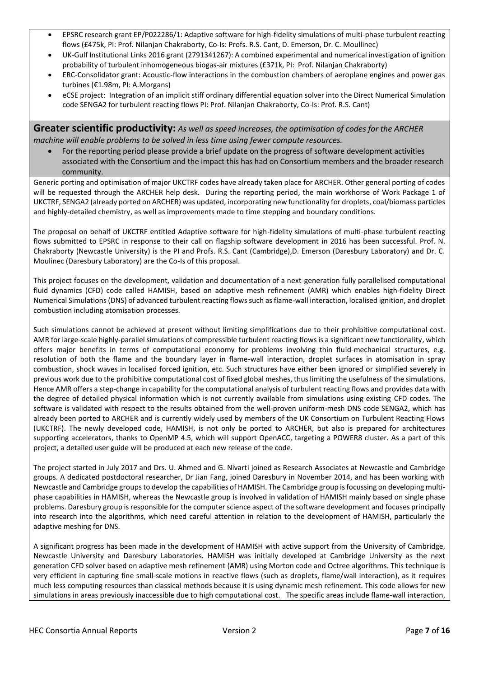- EPSRC research grant EP/P022286/1: Adaptive software for high-fidelity simulations of multi-phase turbulent reacting flows (£475k, PI: Prof. Nilanjan Chakraborty, Co-Is: Profs. R.S. Cant, D. Emerson, Dr. C. Moullinec)
- UK-Gulf Institutional Links 2016 grant (2791341267): A combined experimental and numerical investigation of ignition probability of turbulent inhomogeneous biogas-air mixtures (£371k, PI: Prof. Nilanjan Chakraborty)
- ERC-Consolidator grant: Acoustic-flow interactions in the combustion chambers of aeroplane engines and power gas turbines (€1.98m, PI: A.Morgans)
- eCSE project: Integration of an implicit stiff ordinary differential equation solver into the Direct Numerical Simulation code SENGA2 for turbulent reacting flows PI: Prof. Nilanjan Chakraborty, Co-Is: Prof. R.S. Cant)

**Greater scientific productivity:** *As well as speed increases, the optimisation of codes for the ARCHER machine will enable problems to be solved in less time using fewer compute resources.*

 For the reporting period please provide a brief update on the progress of software development activities associated with the Consortium and the impact this has had on Consortium members and the broader research community.

Generic porting and optimisation of major UKCTRF codes have already taken place for ARCHER. Other general porting of codes will be requested through the ARCHER help desk. During the reporting period, the main workhorse of Work Package 1 of UKCTRF, SENGA2 (already ported on ARCHER) was updated, incorporating new functionality for droplets, coal/biomass particles and highly-detailed chemistry, as well as improvements made to time stepping and boundary conditions.

The proposal on behalf of UKCTRF entitled Adaptive software for high-fidelity simulations of multi-phase turbulent reacting flows submitted to EPSRC in response to their call on flagship software development in 2016 has been successful. Prof. N. Chakraborty (Newcastle University) is the PI and Profs. R.S. Cant (Cambridge),D. Emerson (Daresbury Laboratory) and Dr. C. Moulinec (Daresbury Laboratory) are the Co-Is of this proposal.

This project focuses on the development, validation and documentation of a next-generation fully parallelised computational fluid dynamics (CFD) code called HAMISH, based on adaptive mesh refinement (AMR) which enables high-fidelity Direct Numerical Simulations (DNS) of advanced turbulent reacting flows such as flame-wall interaction, localised ignition, and droplet combustion including atomisation processes.

Such simulations cannot be achieved at present without limiting simplifications due to their prohibitive computational cost. AMR for large-scale highly-parallel simulations of compressible turbulent reacting flows is a significant new functionality, which offers major benefits in terms of computational economy for problems involving thin fluid-mechanical structures, e.g. resolution of both the flame and the boundary layer in flame-wall interaction, droplet surfaces in atomisation in spray combustion, shock waves in localised forced ignition, etc. Such structures have either been ignored or simplified severely in previous work due to the prohibitive computational cost of fixed global meshes, thus limiting the usefulness of the simulations. Hence AMR offers a step-change in capability for the computational analysis of turbulent reacting flows and provides data with the degree of detailed physical information which is not currently available from simulations using existing CFD codes. The software is validated with respect to the results obtained from the well-proven uniform-mesh DNS code SENGA2, which has already been ported to ARCHER and is currently widely used by members of the UK Consortium on Turbulent Reacting Flows (UKCTRF). The newly developed code, HAMISH, is not only be ported to ARCHER, but also is prepared for architectures supporting accelerators, thanks to OpenMP 4.5, which will support OpenACC, targeting a POWER8 cluster. As a part of this project, a detailed user guide will be produced at each new release of the code.

The project started in July 2017 and Drs. U. Ahmed and G. Nivarti joined as Research Associates at Newcastle and Cambridge groups. A dedicated postdoctoral researcher, Dr Jian Fang, joined Daresbury in November 2014, and has been working with Newcastle and Cambridge groups to develop the capabilities of HAMISH. The Cambridge group is focussing on developing multiphase capabilities in HAMISH, whereas the Newcastle group is involved in validation of HAMISH mainly based on single phase problems. Daresbury group is responsible for the computer science aspect of the software development and focuses principally into research into the algorithms, which need careful attention in relation to the development of HAMISH, particularly the adaptive meshing for DNS.

A significant progress has been made in the development of HAMISH with active support from the University of Cambridge, Newcastle University and Daresbury Laboratories. HAMISH was initially developed at Cambridge University as the next generation CFD solver based on adaptive mesh refinement (AMR) using Morton code and Octree algorithms. This technique is very efficient in capturing fine small-scale motions in reactive flows (such as droplets, flame/wall interaction), as it requires much less computing resources than classical methods because it is using dynamic mesh refinement. This code allows for new simulations in areas previously inaccessible due to high computational cost. The specific areas include flame-wall interaction,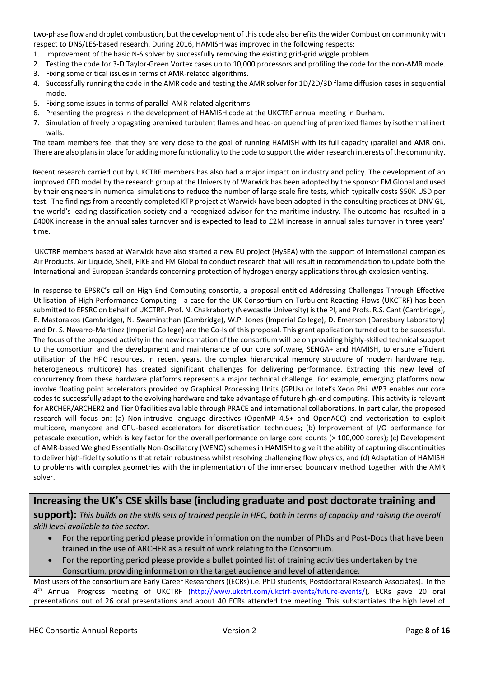two-phase flow and droplet combustion, but the development of this code also benefits the wider Combustion community with respect to DNS/LES-based research. During 2016, HAMISH was improved in the following respects:

- 1. Improvement of the basic N-S solver by successfully removing the existing grid-grid wiggle problem.
- 2. Testing the code for 3-D Taylor-Green Vortex cases up to 10,000 processors and profiling the code for the non-AMR mode. 3. Fixing some critical issues in terms of AMR-related algorithms.
- 4. Successfully running the code in the AMR code and testing the AMR solver for 1D/2D/3D flame diffusion cases in sequential mode.
- 5. Fixing some issues in terms of parallel-AMR-related algorithms.
- 6. Presenting the progress in the development of HAMISH code at the UKCTRF annual meeting in Durham.
- 7. Simulation of freely propagating premixed turbulent flames and head-on quenching of premixed flames by isothermal inert walls.

The team members feel that they are very close to the goal of running HAMISH with its full capacity (parallel and AMR on). There are also plansin place for adding more functionality to the code to support the wider research interests of the community.

 Recent research carried out by UKCTRF members has also had a major impact on industry and policy. The development of an improved CFD model by the research group at the University of Warwick has been adopted by the sponsor FM Global and used by their engineers in numerical simulations to reduce the number of large scale fire tests, which typically costs \$50K USD per test. The findings from a recently completed KTP project at Warwick have been adopted in the consulting practices at DNV GL, the world's leading classification society and a recognized advisor for the maritime industry. The outcome has resulted in a £400K increase in the annual sales turnover and is expected to lead to £2M increase in annual sales turnover in three years' time.

UKCTRF members based at Warwick have also started a new EU project (HySEA) with the support of international companies Air Products, Air Liquide, Shell, FIKE and FM Global to conduct research that will result in recommendation to update both the International and European Standards concerning protection of hydrogen energy applications through explosion venting.

In response to EPSRC's call on High End Computing consortia, a proposal entitled Addressing Challenges Through Effective Utilisation of High Performance Computing - a case for the UK Consortium on Turbulent Reacting Flows (UKCTRF) has been submitted to EPSRC on behalf of UKCTRF. Prof. N. Chakraborty (Newcastle University) is the PI, and Profs. R.S. Cant (Cambridge), E. Mastorakos (Cambridge), N. Swaminathan (Cambridge), W.P. Jones (Imperial College), D. Emerson (Daresbury Laboratory) and Dr. S. Navarro-Martinez (Imperial College) are the Co-Is of this proposal. This grant application turned out to be successful. The focus of the proposed activity in the new incarnation of the consortium will be on providing highly-skilled technical support to the consortium and the development and maintenance of our core software, SENGA+ and HAMISH, to ensure efficient utilisation of the HPC resources. In recent years, the complex hierarchical memory structure of modern hardware (e.g. heterogeneous multicore) has created significant challenges for delivering performance. Extracting this new level of concurrency from these hardware platforms represents a major technical challenge. For example, emerging platforms now involve floating point accelerators provided by Graphical Processing Units (GPUs) or Intel's Xeon Phi. WP3 enables our core codes to successfully adapt to the evolving hardware and take advantage of future high-end computing. This activity is relevant for ARCHER/ARCHER2 and Tier 0 facilities available through PRACE and international collaborations. In particular, the proposed research will focus on: (a) Non-intrusive language directives (OpenMP 4.5+ and OpenACC) and vectorisation to exploit multicore, manycore and GPU-based accelerators for discretisation techniques; (b) Improvement of I/O performance for petascale execution, which is key factor for the overall performance on large core counts (> 100,000 cores); (c) Development of AMR-based Weighed Essentially Non-Oscillatory (WENO) schemes in HAMISH to give it the ability of capturing discontinuities to deliver high-fidelity solutions that retain robustness whilst resolving challenging flow physics; and (d) Adaptation of HAMISH to problems with complex geometries with the implementation of the immersed boundary method together with the AMR solver.

## **Increasing the UK's CSE skills base (including graduate and post doctorate training and**

**support):** *This builds on the skills sets of trained people in HPC, both in terms of capacity and raising the overall skill level available to the sector.*

- For the reporting period please provide information on the number of PhDs and Post-Docs that have been trained in the use of ARCHER as a result of work relating to the Consortium.
- For the reporting period please provide a bullet pointed list of training activities undertaken by the Consortium, providing information on the target audience and level of attendance.

Most users of the consortium are Early Career Researchers ((ECRs) i.e. PhD students, Postdoctoral Research Associates). In the 4<sup>th</sup> Annual Progress meeting of UKCTRF [\(http://www.ukctrf.com/ukctrf-events/future-events/\)](http://www.ukctrf.com/ukctrf-events/future-events/), ECRs gave 20 oral presentations out of 26 oral presentations and about 40 ECRs attended the meeting. This substantiates the high level of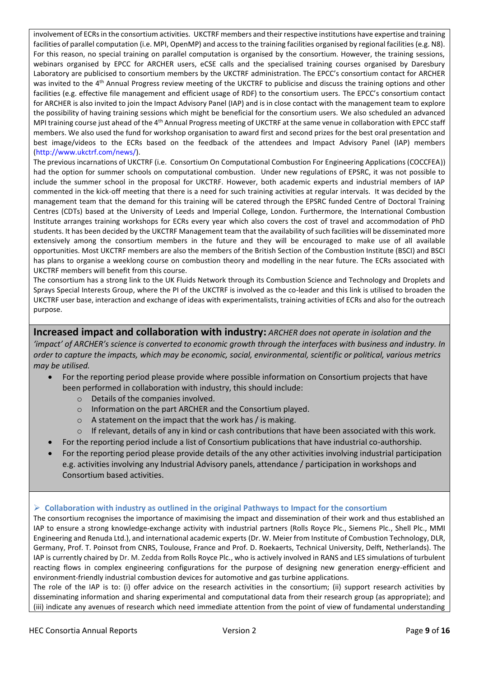involvement of ECRs in the consortium activities. UKCTRF members and their respective institutions have expertise and training facilities of parallel computation (i.e. MPI, OpenMP) and access to the training facilities organised by regional facilities (e.g. N8). For this reason, no special training on parallel computation is organised by the consortium. However, the training sessions, webinars organised by EPCC for ARCHER users, eCSE calls and the specialised training courses organised by Daresbury Laboratory are publicised to consortium members by the UKCTRF administration. The EPCC's consortium contact for ARCHER was invited to the 4<sup>th</sup> Annual Progress review meeting of the UKCTRF to publicise and discuss the training options and other facilities (e.g. effective file management and efficient usage of RDF) to the consortium users. The EPCC's consortium contact for ARCHER is also invited to join the Impact Advisory Panel (IAP) and is in close contact with the management team to explore the possibility of having training sessions which might be beneficial for the consortium users. We also scheduled an advanced MPI training course just ahead of the 4th Annual Progress meeting of UKCTRF at the same venue in collaboration with EPCC staff members. We also used the fund for workshop organisation to award first and second prizes for the best oral presentation and best image/videos to the ECRs based on the feedback of the attendees and Impact Advisory Panel (IAP) members [\(http://www.ukctrf.com/news/\)](http://www.ukctrf.com/news/).

The previous incarnations of UKCTRF (i.e. Consortium On Computational Combustion For Engineering Applications (COCCFEA)) had the option for summer schools on computational combustion. Under new regulations of EPSRC, it was not possible to include the summer school in the proposal for UKCTRF. However, both academic experts and industrial members of IAP commented in the kick-off meeting that there is a need for such training activities at regular intervals. It was decided by the management team that the demand for this training will be catered through the EPSRC funded Centre of Doctoral Training Centres (CDTs) based at the University of Leeds and Imperial College, London. Furthermore, the International Combustion Institute arranges training workshops for ECRs every year which also covers the cost of travel and accommodation of PhD students. It has been decided by the UKCTRF Management team that the availability of such facilities will be disseminated more extensively among the consortium members in the future and they will be encouraged to make use of all available opportunities. Most UKCTRF members are also the members of the British Section of the Combustion Institute (BSCI) and BSCI has plans to organise a weeklong course on combustion theory and modelling in the near future. The ECRs associated with UKCTRF members will benefit from this course.

The consortium has a strong link to the UK Fluids Network through its Combustion Science and Technology and Droplets and Sprays Special Interests Group, where the PI of the UKCTRF is involved as the co-leader and this link is utilised to broaden the UKCTRF user base, interaction and exchange of ideas with experimentalists, training activities of ECRs and also for the outreach purpose.

**Increased impact and collaboration with industry:** *ARCHER does not operate in isolation and the 'impact' of ARCHER's science is converted to economic growth through the interfaces with business and industry. In order to capture the impacts, which may be economic, social, environmental, scientific or political, various metrics may be utilised.* 

- For the reporting period please provide where possible information on Consortium projects that have been performed in collaboration with industry, this should include:
	- o Details of the companies involved.
	- o Information on the part ARCHER and the Consortium played.
	- o A statement on the impact that the work has / is making.
	- $\circ$  If relevant, details of any in kind or cash contributions that have been associated with this work.
- For the reporting period include a list of Consortium publications that have industrial co-authorship.
- For the reporting period please provide details of the any other activities involving industrial participation e.g. activities involving any Industrial Advisory panels, attendance / participation in workshops and Consortium based activities.

## **Collaboration with industry as outlined in the original Pathways to Impact for the consortium**

The consortium recognises the importance of maximising the impact and dissemination of their work and thus established an IAP to ensure a strong knowledge-exchange activity with industrial partners (Rolls Royce Plc., Siemens Plc., Shell Plc., MMI Engineering and Renuda Ltd.), and international academic experts (Dr. W. Meier from Institute of Combustion Technology, DLR, Germany, Prof. T. Poinsot from CNRS, Toulouse, France and Prof. D. Roekaerts, Technical University, Delft, Netherlands). The IAP is currently chaired by Dr. M. Zedda from Rolls Royce Plc., who is actively involved in RANS and LES simulations of turbulent reacting flows in complex engineering configurations for the purpose of designing new generation energy-efficient and environment-friendly industrial combustion devices for automotive and gas turbine applications.

The role of the IAP is to: (i) offer advice on the research activities in the consortium; (ii) support research activities by disseminating information and sharing experimental and computational data from their research group (as appropriate); and (iii) indicate any avenues of research which need immediate attention from the point of view of fundamental understanding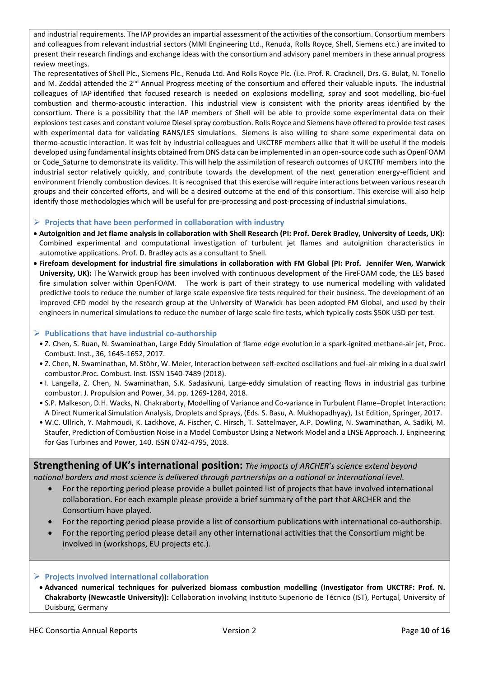and industrial requirements. The IAP provides an impartial assessment of the activities of the consortium. Consortium members and colleagues from relevant industrial sectors (MMI Engineering Ltd., Renuda, Rolls Royce, Shell, Siemens etc.) are invited to present their research findings and exchange ideas with the consortium and advisory panel members in these annual progress review meetings.

The representatives of Shell Plc., Siemens Plc., Renuda Ltd. And Rolls Royce Plc. (i.e. Prof. R. Cracknell, Drs. G. Bulat, N. Tonello and M. Zedda) attended the 2<sup>nd</sup> Annual Progress meeting of the consortium and offered their valuable inputs. The industrial colleagues of IAP identified that focused research is needed on explosions modelling, spray and soot modelling, bio-fuel combustion and thermo-acoustic interaction. This industrial view is consistent with the priority areas identified by the consortium. There is a possibility that the IAP members of Shell will be able to provide some experimental data on their explosions test cases and constant volume Diesel spray combustion. Rolls Royce and Siemens have offered to provide test cases with experimental data for validating RANS/LES simulations. Siemens is also willing to share some experimental data on thermo-acoustic interaction. It was felt by industrial colleagues and UKCTRF members alike that it will be useful if the models developed using fundamental insights obtained from DNS data can be implemented in an open-source code such as OpenFOAM or Code Saturne to demonstrate its validity. This will help the assimilation of research outcomes of UKCTRF members into the industrial sector relatively quickly, and contribute towards the development of the next generation energy-efficient and environment friendly combustion devices. It is recognised that this exercise will require interactions between various research groups and their concerted efforts, and will be a desired outcome at the end of this consortium. This exercise will also help identify those methodologies which will be useful for pre-processing and post-processing of industrial simulations.

## **Projects that have been performed in collaboration with industry**

- **Autoignition and Jet flame analysis in collaboration with Shell Research (PI: Prof. Derek Bradley, University of Leeds, UK):** Combined experimental and computational investigation of turbulent jet flames and autoignition characteristics in automotive applications. Prof. D. Bradley acts as a consultant to Shell.
- **Firefoam development for industrial fire simulations in collaboration with FM Global (PI: Prof. Jennifer Wen, Warwick University, UK):** The Warwick group has been involved with continuous development of the FireFOAM code, the LES based fire simulation solver within OpenFOAM. The work is part of their strategy to use numerical modelling with validated predictive tools to reduce the number of large scale expensive fire tests required for their business. The development of an improved CFD model by the research group at the University of Warwick has been adopted FM Global, and used by their engineers in numerical simulations to reduce the number of large scale fire tests, which typically costs \$50K USD per test.

## **Publications that have industrial co-authorship**

- Z. Chen, S. Ruan, N. Swaminathan, Large Eddy Simulation of flame edge evolution in a spark-ignited methane-air jet, Proc. Combust. Inst., 36, 1645-1652, 2017.
- Z. Chen, N. Swaminathan, M. Stöhr, W. Meier, Interaction between self-excited oscillations and fuel-air mixing in a dual swirl combustor.Proc. Combust. Inst. ISSN 1540-7489 (2018).
- I. Langella, Z. Chen, N. Swaminathan, S.K. Sadasivuni, Large-eddy simulation of reacting flows in industrial gas turbine combustor. J. Propulsion and Power, 34. pp. 1269-1284, 2018.
- S.P. Malkeson, D.H. Wacks, N. Chakraborty, Modelling of Variance and Co-variance in Turbulent Flame–Droplet Interaction: A Direct Numerical Simulation Analysis, Droplets and Sprays, (Eds. S. Basu, A. Mukhopadhyay), 1st Edition, Springer, 2017.
- W.C. Ullrich, Y. Mahmoudi, K. Lackhove, A. Fischer, C. Hirsch, T. Sattelmayer, A.P. Dowling, N. Swaminathan, A. Sadiki, M. Staufer, Prediction of Combustion Noise in a Model Combustor Using a Network Model and a LNSE Approach. J. Engineering for Gas Turbines and Power, 140. ISSN 0742-4795, 2018.

**Strengthening of UK's international position:** *The impacts of ARCHER's science extend beyond national borders and most science is delivered through partnerships on a national or international level.*

- For the reporting period please provide a bullet pointed list of projects that have involved international collaboration. For each example please provide a brief summary of the part that ARCHER and the Consortium have played.
- For the reporting period please provide a list of consortium publications with international co-authorship.
- For the reporting period please detail any other international activities that the Consortium might be involved in (workshops, EU projects etc.).

## **Projects involved international collaboration**

 **Advanced numerical techniques for pulverized biomass combustion modelling (Investigator from UKCTRF: Prof. N. Chakraborty (Newcastle University)):** Collaboration involving Instituto Superiorio de Técnico (IST), Portugal, University of Duisburg, Germany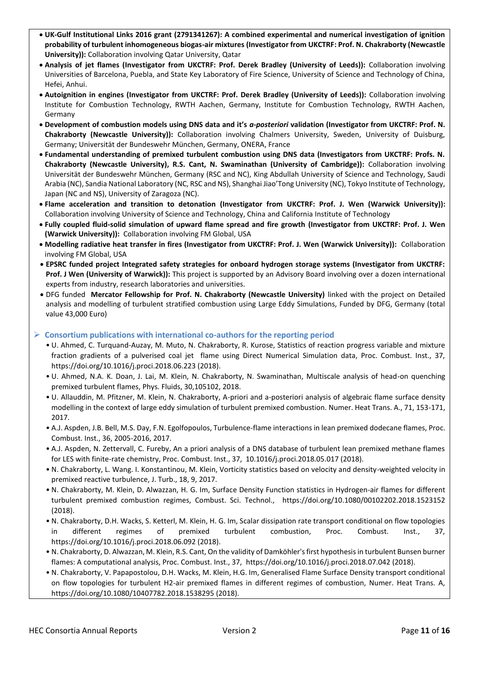- **UK-Gulf Institutional Links 2016 grant (2791341267): A combined experimental and numerical investigation of ignition probability of turbulent inhomogeneous biogas-air mixtures (Investigator from UKCTRF: Prof. N. Chakraborty (Newcastle University)):** Collaboration involving Qatar University, Qatar
- **Analysis of jet flames (Investigator from UKCTRF: Prof. Derek Bradley (University of Leeds)):** Collaboration involving Universities of Barcelona, Puebla, and State Key Laboratory of Fire Science, University of Science and Technology of China, Hefei, Anhui.
- **Autoignition in engines (Investigator from UKCTRF: Prof. Derek Bradley (University of Leeds)):** Collaboration involving Institute for Combustion Technology, RWTH Aachen, Germany, Institute for Combustion Technology, RWTH Aachen, Germany
- **Development of combustion models using DNS data and it's** *a-posteriori* **validation (Investigator from UKCTRF: Prof. N. Chakraborty (Newcastle University)):** Collaboration involving Chalmers University, Sweden, University of Duisburg, Germany; Universität der Bundeswehr München, Germany, ONERA, France
- **Fundamental understanding of premixed turbulent combustion using DNS data (Investigators from UKCTRF: Profs. N. Chakraborty (Newcastle University), R.S. Cant, N. Swaminathan (University of Cambridge)):** Collaboration involving Universität der Bundeswehr München, Germany (RSC and NC), King Abdullah University of Science and Technology, Saudi Arabia (NC), Sandia National Laboratory (NC, RSC and NS), Shanghai Jiao'Tong University (NC), Tokyo Institute of Technology, Japan (NC and NS), University of Zaragoza (NC).
- **Flame acceleration and transition to detonation (Investigator from UKCTRF: Prof. J. Wen (Warwick University)):**  Collaboration involving University of Science and Technology, China and California Institute of Technology
- **Fully coupled fluid-solid simulation of upward flame spread and fire growth (Investigator from UKCTRF: Prof. J. Wen (Warwick University)):** Collaboration involving FM Global, USA
- **Modelling radiative heat transfer in fires (Investigator from UKCTRF: Prof. J. Wen (Warwick University)):** Collaboration involving FM Global, USA
- **EPSRC funded project Integrated safety strategies for onboard hydrogen storage systems (Investigator from UKCTRF: Prof. J Wen (University of Warwick)):** This project is supported by an Advisory Board involving over a dozen international experts from industry, research laboratories and universities.
- DFG funded **Mercator Fellowship for Prof. N. Chakraborty (Newcastle University)** linked with the project on Detailed analysis and modelling of turbulent stratified combustion using Large Eddy Simulations, Funded by DFG, Germany (total value 43,000 Euro)

## **Consortium publications with international co-authors for the reporting period**

- U. Ahmed, C. Turquand-Auzay, M. Muto, N. Chakraborty, R. Kurose, Statistics of reaction progress variable and mixture fraction gradients of a pulverised coal jet flame using Direct Numerical Simulation data, Proc. Combust. Inst., 37, https://doi.org/10.1016/j.proci.2018.06.223 (2018).
- U. Ahmed, N.A. K. Doan, J. Lai, M. Klein, N. Chakraborty, N. Swaminathan, Multiscale analysis of head-on quenching premixed turbulent flames, Phys. Fluids, 30,105102, 2018.
- U. Allauddin, M. Pfitzner, M. Klein, N. Chakraborty, A-priori and a-posteriori analysis of algebraic flame surface density modelling in the context of large eddy simulation of turbulent premixed combustion. Numer. Heat Trans. A., 71, 153-171, 2017.
- A.J. Aspden, J.B. Bell, M.S. Day, F.N. Egolfopoulos, Turbulence-flame interactions in lean premixed dodecane flames, Proc. Combust. Inst., 36, 2005-2016, 2017.
- A.J. Aspden, N. Zettervall, C. Fureby, An a priori analysis of a DNS database of turbulent lean premixed methane flames for LES with finite-rate chemistry, Proc. Combust. Inst., 37, 10.1016/j.proci.2018.05.017 (2018).
- N. Chakraborty, L. Wang. I. Konstantinou, M. Klein, Vorticity statistics based on velocity and density-weighted velocity in premixed reactive turbulence, J. Turb., 18, 9, 2017.
- N. Chakraborty, M. Klein, D. Alwazzan, H. G. Im, Surface Density Function statistics in Hydrogen-air flames for different turbulent premixed combustion regimes, Combust. Sci. Technol., <https://doi.org/10.1080/00102202.2018.1523152> (2018).
- N. Chakraborty, D.H. Wacks, S. Ketterl, M. Klein, H. G. Im, Scalar dissipation rate transport conditional on flow topologies in different regimes of premixed turbulent combustion, Proc. Combust. Inst., 37, https://doi.org/10.1016/j.proci.2018.06.092 (2018).
- N. Chakraborty, D. Alwazzan, M. Klein, R.S. Cant, On the validity of Damköhler's first hypothesis in turbulent Bunsen burner flames: A computational analysis, Proc. Combust. Inst., 37,<https://doi.org/10.1016/j.proci.2018.07.042> (2018).
- N. Chakraborty, V. Papapostolou, D.H. Wacks, M. Klein, H.G. Im, Generalised Flame Surface Density transport conditional on flow topologies for turbulent H2-air premixed flames in different regimes of combustion, Numer. Heat Trans. A, <https://doi.org/10.1080/10407782.2018.1538295> (2018).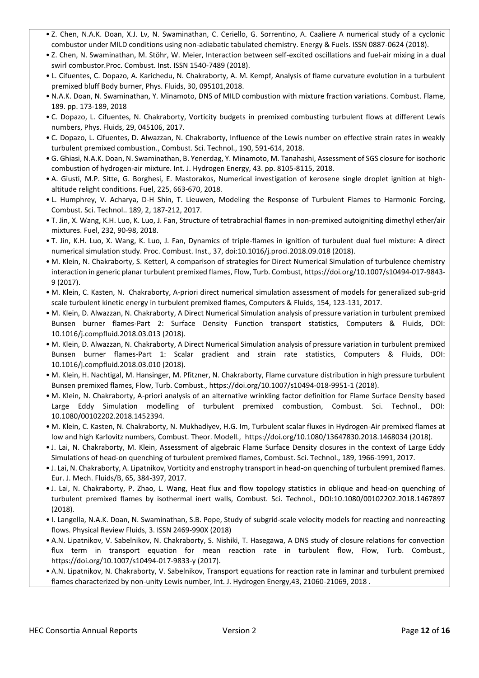- Z. Chen, N.A.K. Doan, X.J. Lv, N. Swaminathan, C. Ceriello, G. Sorrentino, A. Caaliere A numerical study of a cyclonic combustor under MILD conditions using non-adiabatic tabulated chemistry. Energy & Fuels. ISSN 0887-0624 (2018).
- Z. Chen, N. Swaminathan, M. Stöhr, W. Meier, Interaction between self-excited oscillations and fuel-air mixing in a dual swirl combustor.Proc. Combust. Inst. ISSN 1540-7489 (2018).
- L. Cifuentes, C. Dopazo, A. Karichedu, N. Chakraborty, A. M. Kempf, Analysis of flame curvature evolution in a turbulent premixed bluff Body burner, Phys. Fluids, 30, 095101,2018.
- N.A.K. Doan, N. Swaminathan, Y. Minamoto, DNS of MILD combustion with mixture fraction variations. Combust. Flame, 189. pp. 173-189, 2018
- C. Dopazo, L. Cifuentes, N. Chakraborty, Vorticity budgets in premixed combusting turbulent flows at different Lewis numbers, Phys. Fluids, 29, 045106, 2017.
- C. Dopazo, L. Cifuentes, D. Alwazzan, N. Chakraborty, Influence of the Lewis number on effective strain rates in weakly turbulent premixed combustion., Combust. Sci. Technol., 190, 591-614, 2018.
- G. Ghiasi, N.A.K. Doan, N. Swaminathan, B. Yenerdag, Y. Minamoto, M. Tanahashi, Assessment of SGS closure for isochoric combustion of hydrogen-air mixture. Int. J. Hydrogen Energy, 43. pp. 8105-8115, 2018.
- A. Giusti, M.P. Sitte, G. Borghesi, E. Mastorakos, Numerical investigation of kerosene single droplet ignition at highaltitude relight conditions. Fuel, 225, 663-670, 2018.
- L. Humphrey, V. Acharya, D-H Shin, T. Lieuwen, Modeling the Response of Turbulent Flames to Harmonic Forcing, Combust. Sci. Technol.. 189, 2, 187-212, 2017.
- T. Jin, X. Wang, K.H. Luo, K. Luo, J. Fan, Structure of tetrabrachial flames in non-premixed autoigniting dimethyl ether/air mixtures. Fuel, 232, 90-98, 2018.
- T. Jin, K.H. Luo, X. Wang, K. Luo, J. Fan, Dynamics of triple-flames in ignition of turbulent dual fuel mixture: A direct numerical simulation study. Proc. Combust. Inst., 37, doi:10.1016/j.proci.2018.09.018 (2018).
- M. Klein, N. Chakraborty, S. Ketterl, A comparison of strategies for Direct Numerical Simulation of turbulence chemistry interaction in generic planar turbulent premixed flames, Flow, Turb. Combust, https://doi.org/10.1007/s10494-017-9843- 9 (2017).
- M. Klein, C. Kasten, N. Chakraborty, A-priori direct numerical simulation assessment of models for generalized sub-grid scale turbulent kinetic energy in turbulent premixed flames, Computers & Fluids, 154, 123-131, 2017.
- M. Klein, D. Alwazzan, N. Chakraborty, A Direct Numerical Simulation analysis of pressure variation in turbulent premixed Bunsen burner flames-Part 2: Surface Density Function transport statistics, Computers & Fluids, DOI: 10.1016/j.compfluid.2018.03.013 (2018).
- M. Klein, D. Alwazzan, N. Chakraborty, A Direct Numerical Simulation analysis of pressure variation in turbulent premixed Bunsen burner flames-Part 1: Scalar gradient and strain rate statistics, Computers & Fluids, DOI: 10.1016/j.compfluid.2018.03.010 (2018).
- M. Klein, H. Nachtigal, M. Hansinger, M. Pfitzner, N. Chakraborty, Flame curvature distribution in high pressure turbulent Bunsen premixed flames, Flow, Turb. Combust.,<https://doi.org/10.1007/s10494-018-9951-1> (2018).
- M. Klein, N. Chakraborty, A-priori analysis of an alternative wrinkling factor definition for Flame Surface Density based Large Eddy Simulation modelling of turbulent premixed combustion, Combust. Sci. Technol., DOI: 10.1080/00102202.2018.1452394.
- M. Klein, C. Kasten, N. Chakraborty, N. Mukhadiyev, H.G. Im, Turbulent scalar fluxes in Ηydrogen-Air premixed flames at low and high Karlovitz numbers, Combust. Theor. Modell.,<https://doi.org/10.1080/13647830.2018.1468034> (2018).
- J. Lai, N. Chakraborty, M. Klein, Assessment of algebraic Flame Surface Density closures in the context of Large Eddy Simulations of head-on quenching of turbulent premixed flames, Combust. Sci. Technol., 189, 1966-1991, 2017.
- J. Lai, N. Chakraborty, A. Lipatnikov, Vorticity and enstrophy transport in head-on quenching of turbulent premixed flames. Eur. J. Mech. Fluids/B, 65, 384-397, 2017.
- J. Lai, N. Chakraborty, P. Zhao, L. Wang, Heat flux and flow topology statistics in oblique and head-on quenching of turbulent premixed flames by isothermal inert walls, Combust. Sci. Technol., DOI:10.1080/00102202.2018.1467897 (2018).
- I. Langella, N.A.K. Doan, N. Swaminathan, S.B. Pope, Study of subgrid-scale velocity models for reacting and nonreacting flows. Physical Review Fluids, 3. ISSN 2469-990X (2018)
- A.N. Lipatnikov, V. Sabelnikov, N. Chakraborty, S. Nishiki, T. Hasegawa, A DNS study of closure relations for convection flux term in transport equation for mean reaction rate in turbulent flow, Flow, Turb. Combust., https://doi.org/10.1007/s10494-017-9833-y (2017).
- A.N. Lipatnikov, N. Chakraborty, V. Sabelnikov, Transport equations for reaction rate in laminar and turbulent premixed flames characterized by non-unity Lewis number, Int. J. Hydrogen Energy,43, 21060-21069, 2018 .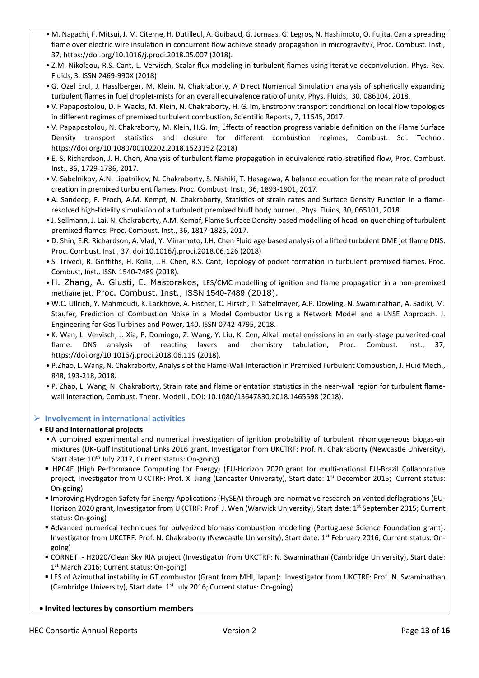- M. Nagachi, F. Mitsui, J. M. Citerne, H. Dutilleul, A. Guibaud, G. Jomaas, G. Legros, N. Hashimoto, O. Fujita, Can a spreading flame over electric wire insulation in concurrent flow achieve steady propagation in microgravity?, Proc. Combust. Inst., 37, https://doi.org/10.1016/j.proci.2018.05.007 (2018).
- Z.M. Nikolaou, R.S. Cant, L. Vervisch, Scalar flux modeling in turbulent flames using iterative deconvolution. Phys. Rev. Fluids, 3. ISSN 2469-990X (2018)
- G. Ozel Erol, J. Hasslberger, M. Klein, N. Chakraborty, A Direct Numerical Simulation analysis of spherically expanding turbulent flames in fuel droplet-mists for an overall equivalence ratio of unity, Phys. Fluids, 30, 086104, 2018.
- V. Papapostolou, D. H Wacks, M. Klein, N. Chakraborty, H. G. Im, Enstrophy transport conditional on local flow topologies in different regimes of premixed turbulent combustion, Scientific Reports, 7, 11545, 2017.
- V. Papapostolou, N. Chakraborty, M. Klein, H.G. Im, Effects of reaction progress variable definition on the Flame Surface Density transport statistics and closure for different combustion regimes, Combust. Sci. Technol. <https://doi.org/10.1080/00102202.2018.1523152> (2018)
- E. S. Richardson, J. H. Chen, Analysis of turbulent flame propagation in equivalence ratio-stratified flow, Proc. Combust. Inst., 36, 1729-1736, 2017.
- V. Sabelnikov, A.N. Lipatnikov, N. Chakraborty, S. Nishiki, T. Hasagawa, A balance equation for the mean rate of product creation in premixed turbulent flames. Proc. Combust. Inst., 36, 1893-1901, 2017.
- A. Sandeep, F. Proch, A.M. Kempf, N. Chakraborty, Statistics of strain rates and Surface Density Function in a flameresolved high-fidelity simulation of a turbulent premixed bluff body burner., Phys. Fluids, 30, 065101, 2018.
- J. Sellmann, J. Lai, N. Chakraborty, A.M. Kempf, Flame Surface Density based modelling of head-on quenching of turbulent premixed flames. Proc. Combust. Inst., 36, 1817-1825, 2017.
- D. Shin, E.R. Richardson, A. Vlad, Y. Minamoto, J.H. Chen Fluid age-based analysis of a lifted turbulent DME jet flame DNS. Proc. Combust. Inst., 37. doi:10.1016/j.proci.2018.06.126 (2018)
- S. Trivedi, R. Griffiths, H. Kolla, J.H. Chen, R.S. Cant, Topology of pocket formation in turbulent premixed flames. Proc. Combust, Inst.. ISSN 1540-7489 (2018).
- H. Zhang, A. Giusti, E. Mastorakos, LES/CMC modelling of ignition and flame propagation in a non-premixed methane jet. Proc. Combust. Inst., ISSN 1540-7489 (2018).
- W.C. Ullrich, Y. Mahmoudi, K. Lackhove, A. Fischer, C. Hirsch, T. Sattelmayer, A.P. Dowling, N. Swaminathan, A. Sadiki, M. Staufer, Prediction of Combustion Noise in a Model Combustor Using a Network Model and a LNSE Approach. J. Engineering for Gas Turbines and Power, 140. ISSN 0742-4795, 2018.
- K. Wan, L. Vervisch, J. Xia, P. Domingo, Z. Wang, Y. Liu, K. Cen, Alkali metal emissions in an early-stage pulverized-coal flame: DNS analysis of reacting layers and chemistry tabulation, Proc. Combust. Inst., 37, https://doi.org/10.1016/j.proci.2018.06.119 (2018).
- P.Zhao, L. Wang, N. Chakraborty, Analysis of the Flame-Wall Interaction in Premixed Turbulent Combustion, J. Fluid Mech., 848, 193-218, 2018.
- P. Zhao, L. Wang, N. Chakraborty, Strain rate and flame orientation statistics in the near-wall region for turbulent flamewall interaction, Combust. Theor. Modell., DOI: 10.1080/13647830.2018.1465598 (2018).

## **Involvement in international activities**

## **EU and International projects**

- A combined experimental and numerical investigation of ignition probability of turbulent inhomogeneous biogas-air mixtures (UK-Gulf Institutional Links 2016 grant, Investigator from UKCTRF: Prof. N. Chakraborty (Newcastle University), Start date: 10<sup>th</sup> July 2017, Current status: On-going)
- HPC4E (High Performance Computing for Energy) (EU-Horizon 2020 grant for multi-national EU-Brazil Collaborative project, Investigator from UKCTRF: Prof. X. Jiang (Lancaster University), Start date: 1<sup>st</sup> December 2015; Current status: On-going)
- Improving Hydrogen Safety for Energy Applications (HySEA) through pre-normative research on vented deflagrations (EU-Horizon 2020 grant, Investigator from UKCTRF: Prof. J. Wen (Warwick University), Start date: 1<sup>st</sup> September 2015; Current status: On-going)
- Advanced numerical techniques for pulverized biomass combustion modelling (Portuguese Science Foundation grant): Investigator from UKCTRF: Prof. N. Chakraborty (Newcastle University), Start date: 1<sup>st</sup> February 2016; Current status: Ongoing)
- CORNET H2020/Clean Sky RIA project (Investigator from UKCTRF: N. Swaminathan (Cambridge University), Start date: 1<sup>st</sup> March 2016; Current status: On-going)
- LES of Azimuthal instability in GT combustor (Grant from MHI, Japan): Investigator from UKCTRF: Prof. N. Swaminathan (Cambridge University), Start date:  $1<sup>st</sup>$  July 2016; Current status: On-going)

## **Invited lectures by consortium members**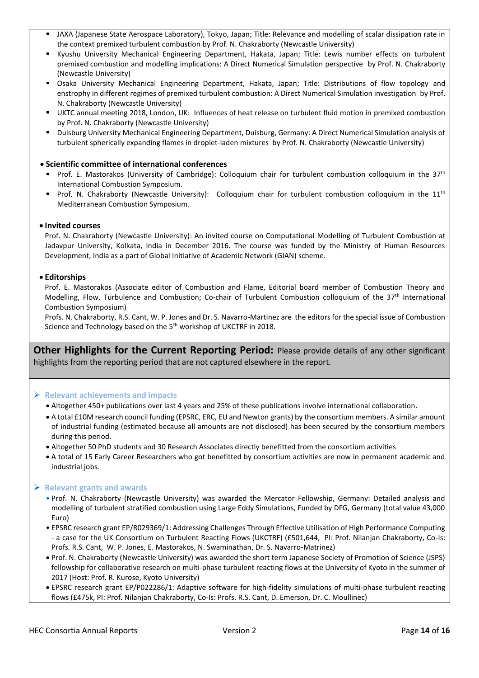- JAXA (Japanese State Aerospace Laboratory), Tokyo, Japan; Title: Relevance and modelling of scalar dissipation rate in the context premixed turbulent combustion by Prof. N. Chakraborty (Newcastle University)
- Kyushu University Mechanical Engineering Department, Hakata, Japan; Title: Lewis number effects on turbulent premixed combustion and modelling implications: A Direct Numerical Simulation perspective by Prof. N. Chakraborty (Newcastle University)
- Osaka University Mechanical Engineering Department, Hakata, Japan; Title: Distributions of flow topology and enstrophy in different regimes of premixed turbulent combustion: A Direct Numerical Simulation investigation by Prof. N. Chakraborty (Newcastle University)
- UKTC annual meeting 2018, London, UK: Influences of heat release on turbulent fluid motion in premixed combustion by Prof. N. Chakraborty (Newcastle University)
- Duisburg University Mechanical Engineering Department, Duisburg, Germany: A Direct Numerical Simulation analysis of turbulent spherically expanding flames in droplet-laden mixtures by Prof. N. Chakraborty (Newcastle University)

#### **Scientific committee of international conferences**

- Prof. E. Mastorakos (University of Cambridge): Colloquium chair for turbulent combustion colloquium in the 37<sup>th</sup> International Combustion Symposium.
- Prof. N. Chakraborty (Newcastle University): Colloquium chair for turbulent combustion colloquium in the  $11<sup>th</sup>$ Mediterranean Combustion Symposium.

#### **Invited courses**

Prof. N. Chakraborty (Newcastle University): An invited course on Computational Modelling of Turbulent Combustion at Jadavpur University, Kolkata, India in December 2016. The course was funded by the Ministry of Human Resources Development, India as a part of Global Initiative of Academic Network (GIAN) scheme.

#### **Editorships**

Prof. E. Mastorakos (Associate editor of Combustion and Flame, Editorial board member of Combustion Theory and Modelling, Flow, Turbulence and Combustion; Co-chair of Turbulent Combustion colloquium of the 37<sup>th</sup> International Combustion Symposium)

Profs. N. Chakraborty, R.S. Cant, W. P. Jones and Dr. S. Navarro-Martinez are the editors for the special issue of Combustion Science and Technology based on the 5<sup>th</sup> workshop of UKCTRF in 2018.

**Other Highlights for the Current Reporting Period:** Please provide details of any other significant highlights from the reporting period that are not captured elsewhere in the report.

#### **Relevant achievements and impacts**

- Altogether 450+ publications over last 4 years and 25% of these publications involve international collaboration.
- A total £10M research council funding (EPSRC, ERC, EU and Newton grants) by the consortium members. A similar amount of industrial funding (estimated because all amounts are not disclosed) has been secured by the consortium members during this period.
- Altogether 50 PhD students and 30 Research Associates directly benefitted from the consortium activities
- A total of 15 Early Career Researchers who got benefitted by consortium activities are now in permanent academic and industrial jobs.

#### **Relevant grants and awards**

- Prof. N. Chakraborty (Newcastle University) was awarded the Mercator Fellowship, Germany: Detailed analysis and modelling of turbulent stratified combustion using Large Eddy Simulations, Funded by DFG, Germany (total value 43,000 Euro)
- EPSRC research grant EP/R029369/1: Addressing Challenges Through Effective Utilisation of High Performance Computing - a case for the UK Consortium on Turbulent Reacting Flows (UKCTRF) (£501,644, PI: Prof. Nilanjan Chakraborty, Co-Is: Profs. R.S. Cant, W. P. Jones, E. Mastorakos, N. Swaminathan, Dr. S. Navarro-Matrinez)
- Prof. N. Chakraborty (Newcastle University) was awarded the short term Japanese Society of Promotion of Science (JSPS) fellowship for collaborative research on multi-phase turbulent reacting flows at the University of Kyoto in the summer of 2017 (Host: Prof. R. Kurose, Kyoto University)
- EPSRC research grant EP/P022286/1: Adaptive software for high-fidelity simulations of multi-phase turbulent reacting flows (£475k, PI: Prof. Nilanjan Chakraborty, Co-Is: Profs. R.S. Cant, D. Emerson, Dr. C. Moullinec)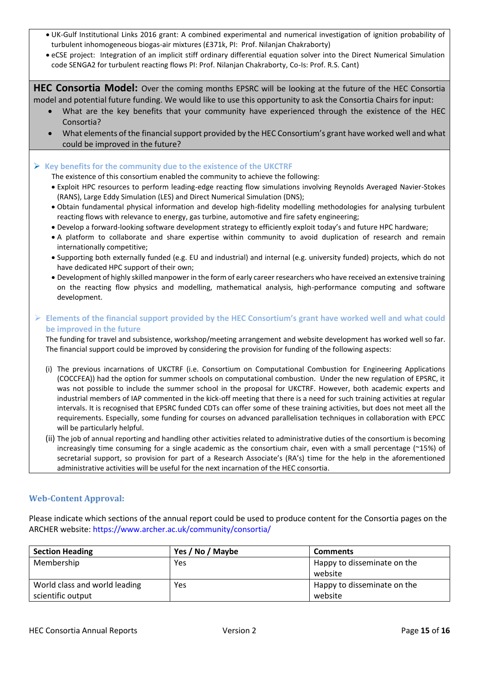- UK-Gulf Institutional Links 2016 grant: A combined experimental and numerical investigation of ignition probability of turbulent inhomogeneous biogas-air mixtures (£371k, PI: Prof. Nilanjan Chakraborty)
- eCSE project: Integration of an implicit stiff ordinary differential equation solver into the Direct Numerical Simulation code SENGA2 for turbulent reacting flows PI: Prof. Nilanjan Chakraborty, Co-Is: Prof. R.S. Cant)

**HEC Consortia Model:** Over the coming months EPSRC will be looking at the future of the HEC Consortia model and potential future funding. We would like to use this opportunity to ask the Consortia Chairs for input:

- What are the key benefits that your community have experienced through the existence of the HEC Consortia?
- What elements of the financial support provided by the HEC Consortium's grant have worked well and what could be improved in the future?

## **Key benefits for the community due to the existence of the UKCTRF**

The existence of this consortium enabled the community to achieve the following:

- Exploit HPC resources to perform leading-edge reacting flow simulations involving Reynolds Averaged Navier-Stokes (RANS), Large Eddy Simulation (LES) and Direct Numerical Simulation (DNS);
- Obtain fundamental physical information and develop high-fidelity modelling methodologies for analysing turbulent reacting flows with relevance to energy, gas turbine, automotive and fire safety engineering;
- Develop a forward-looking software development strategy to efficiently exploit today's and future HPC hardware;
- A platform to collaborate and share expertise within community to avoid duplication of research and remain internationally competitive;
- Supporting both externally funded (e.g. EU and industrial) and internal (e.g. university funded) projects, which do not have dedicated HPC support of their own;
- Development of highly skilled manpower in the form of early career researchers who have received an extensive training on the reacting flow physics and modelling, mathematical analysis, high-performance computing and software development.

## **Elements of the financial support provided by the HEC Consortium's grant have worked well and what could be improved in the future**

The funding for travel and subsistence, workshop/meeting arrangement and website development has worked well so far. The financial support could be improved by considering the provision for funding of the following aspects:

- (i) The previous incarnations of UKCTRF (i.e. Consortium on Computational Combustion for Engineering Applications (COCCFEA)) had the option for summer schools on computational combustion. Under the new regulation of EPSRC, it was not possible to include the summer school in the proposal for UKCTRF. However, both academic experts and industrial members of IAP commented in the kick-off meeting that there is a need for such training activities at regular intervals. It is recognised that EPSRC funded CDTs can offer some of these training activities, but does not meet all the requirements. Especially, some funding for courses on advanced parallelisation techniques in collaboration with EPCC will be particularly helpful.
- (ii) The job of annual reporting and handling other activities related to administrative duties of the consortium is becoming increasingly time consuming for a single academic as the consortium chair, even with a small percentage (~15%) of secretarial support, so provision for part of a Research Associate's (RA's) time for the help in the aforementioned administrative activities will be useful for the next incarnation of the HEC consortia.

## **Web-Content Approval:**

Please indicate which sections of the annual report could be used to produce content for the Consortia pages on the ARCHER website:<https://www.archer.ac.uk/community/consortia/>

| <b>Section Heading</b>        | Yes / No / Maybe | <b>Comments</b>             |
|-------------------------------|------------------|-----------------------------|
| Membership                    | Yes              | Happy to disseminate on the |
|                               |                  | website                     |
| World class and world leading | Yes              | Happy to disseminate on the |
| scientific output             |                  | website                     |